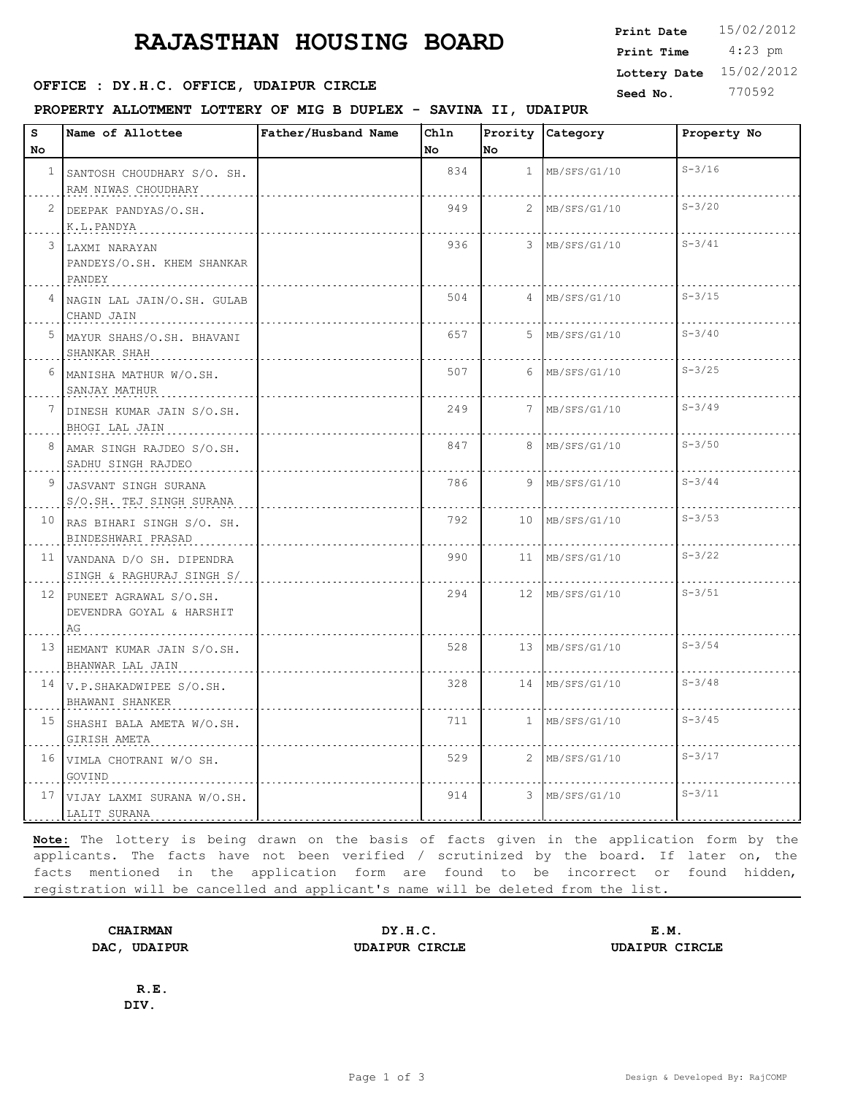## **RAJASTHAN HOUSING BOARD** Print Date 15/02/2012

**SEED OFFICE : DY.H.C. OFFICE, UDAIPUR CIRCLE CONSUMING Seed No.** 770592

SADHU SINGH RAJDEO

10 RAS BIHARI SINGH S/O. SH.

11 VANDANA D/O SH. DIPENDRA

13 HEMANT KUMAR JAIN S/O.SH.

15 SHASHI BALA AMETA W/O.SH.

14 V.P.SHAKADWIPEE S/O.SH.

16 VIMLA CHOTRANI W/O SH.

12 PUNEET AGRAWAL S/O.SH. DEVENDRA GOYAL & HARSHIT

S/O.SH. TEJ SINGH SURANA | | ............................

BINDESHWARI PRASAD

SINGH & RAGHURAJ SINGH S/

AG

BHANWAR LAL JAIN

BHAWANI SHANKER

GIRISH AMETA

GOVIND

9 JASVANT SINGH SURANA

## **PROPERTY ALLOTMENT LOTTERY OF MIG B DUPLEX - SAVINA II, UDAIPUR**

| s  | <b>Name of Allottee</b>                               | Father/Husband Name | Chln |                 | Prority Category | Property No |
|----|-------------------------------------------------------|---------------------|------|-----------------|------------------|-------------|
| No |                                                       |                     | No.  | No.             |                  |             |
|    | SANTOSH CHOUDHARY S/O. SH.<br>RAM NIWAS CHOUDHARY     |                     | 834  | $\mathbf{1}$    | MB/SFS/G1/10     | $S - 3/16$  |
| 2  | DEEPAK PANDYAS/O.SH.<br>K.L.PANDYA                    |                     | 949  | $\mathcal{L}$   | MB/SFS/G1/10     | $S - 3/20$  |
|    | LAXMI NARAYAN<br>PANDEYS/O.SH. KHEM SHANKAR<br>PANDEY |                     | 936  |                 | 3 MB/SFS/G1/10   | $S - 3/41$  |
|    | NAGIN LAL JAIN/O.SH. GULAB<br>CHAND JAIN              |                     | 504  |                 | $4$ MB/SFS/G1/10 | $S - 3/15$  |
|    | 5 MAYUR SHAHS/O.SH. BHAVANI<br>SHANKAR SHAH           |                     | 657  |                 | $5$ MB/SFS/G1/10 | $S - 3/40$  |
|    | 6 MANISHA MATHUR W/O.SH.<br>SANJAY MATHUR             |                     | 507  |                 | $6$ MB/SFS/G1/10 | $S - 3/25$  |
|    | DINESH KUMAR JAIN S/O.SH.<br>BHOGI LAL JAIN           |                     | 249  | $7\overline{ }$ | MB/SFS/G1/10     | $S - 3/49$  |
|    | AMAR SINGH RAJDEO S/O.SH.                             |                     | 847  |                 | 8 MB/SFS/G1/10   | $S - 3/50$  |

<u>. . . . . . . . .</u>

. . . . . . . . .

<u>. . . . . . . .</u>

. . . . . . . . .

786 9 MB/SFS/G1/10 S-3/44

and a state

. . . . . . . .

. . . . . . . . . .

<u>. . . . . . . . . .</u>

. . . . . . . . .

. . . . . . . . . . . . . . . .

792 10 MB/SFS/G1/10 S-3/53

990 11 MB/SFS/G1/10 S-3/22

294 | 12 MB/SFS/G1/10 | S-3/51

528 13 MB/SFS/G1/10 S-3/54

328 14 MB/SFS/G1/10 S-3/48

711 | MB/SFS/G1/10 | S-3/45

529 2 MB/SFS/G1/10 S-3/17

914 3 MB/SFS/G1/10 S-3/11

17 VIJAY LAXMI SURANA W/O.SH. LALIT SURANA **Note:** The lottery is being drawn on the basis of facts given in the application form by the applicants. The facts have not been verified / scrutinized by the board. If later on, the facts mentioned in the application form are found to be incorrect or found hidden, registration will be cancelled and applicant's name will be deleted from the list.

**CHAIRMAN DY.H.C. E.M. DAC, UDAIPUR UDAIPUR CIRCLE UDAIPUR CIRCLE**

**R.E. DIV.**

 4:23 pm **Print Date Print Time Lottery Date** 15/02/2012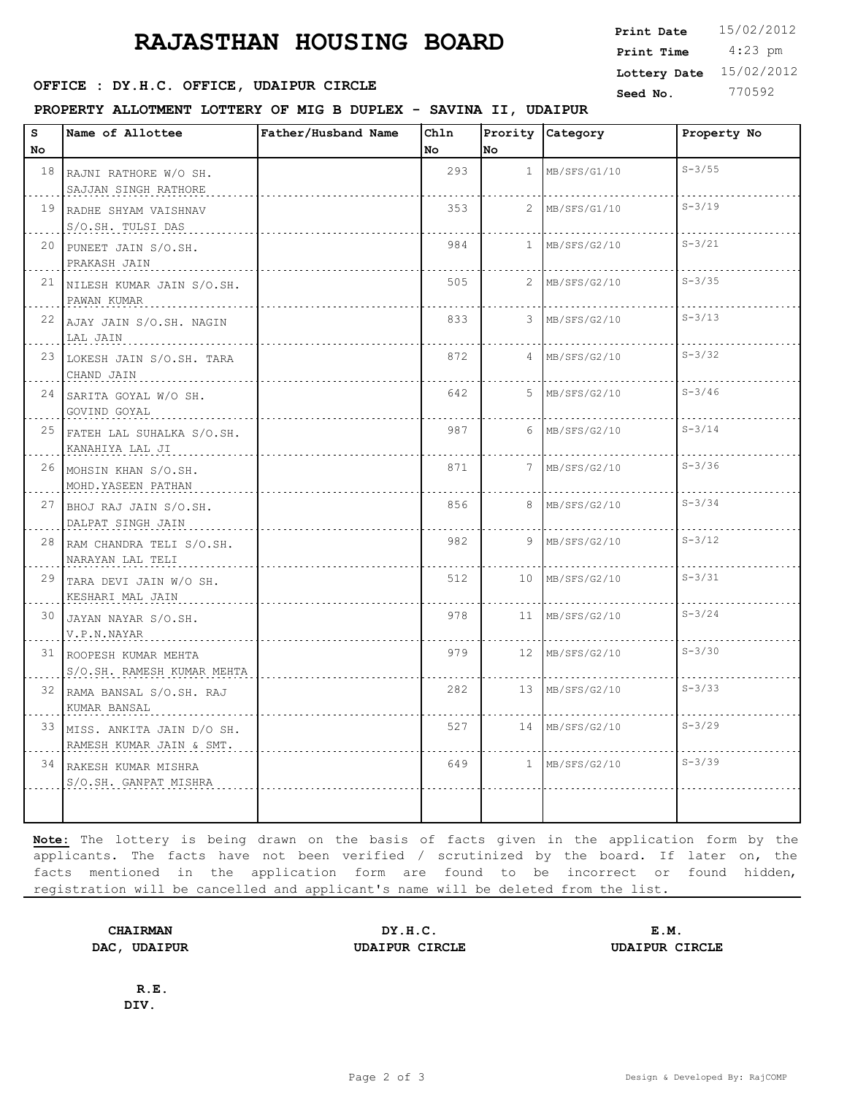## **RAJASTHAN HOUSING BOARD**

**SEED OFFICE : DY.H.C. OFFICE, UDAIPUR CIRCLE CONSUMING Seed No.** 770592

**PROPERTY ALLOTMENT LOTTERY OF MIG B DUPLEX - SAVINA II, UDAIPUR**

| 18 RAJNI RATHORE W/O SH.<br>SAJJAN SINGH RATHORE<br>19 RADHE SHYAM VAISHNAV<br>S/O.SH. TULSI DAS<br>20 PUNEET JAIN S/O.SH.<br>PRAKASH JAIN |                                                 | 293<br>353 | 1<br>$\overline{2}$ | MB/SFS/G1/10 | $S - 3/55$                          |
|--------------------------------------------------------------------------------------------------------------------------------------------|-------------------------------------------------|------------|---------------------|--------------|-------------------------------------|
|                                                                                                                                            |                                                 |            |                     |              |                                     |
|                                                                                                                                            |                                                 |            |                     | MB/SFS/G1/10 | $S - 3/19$                          |
|                                                                                                                                            |                                                 | 984        | $\mathbf{1}$        | MB/SFS/G2/10 | $S - 3/21$                          |
| 21 NILESH KUMAR JAIN S/O.SH.<br>PAWAN KUMAR                                                                                                |                                                 | 505        | $\overline{2}$      | MB/SFS/G2/10 | $S - 3/35$                          |
| 22 AJAY JAIN S/O.SH. NAGIN<br>LAL JAIN                                                                                                     |                                                 | 833        | 3                   | MB/SFS/G2/10 | $S - 3/13$                          |
| 23 LOKESH JAIN S/O.SH. TARA<br>CHAND JAIN                                                                                                  |                                                 | 872        | 4                   | MB/SFS/G2/10 | $S - 3/32$                          |
| 24 SARITA GOYAL W/O SH.<br>GOVIND GOYAL                                                                                                    |                                                 | 642        | 5                   | MB/SFS/G2/10 | $S - 3/46$                          |
| 25 FATEH LAL SUHALKA S/O.SH.<br>KANAHIYA LAL JI                                                                                            |                                                 | 987        | 6                   | MB/SFS/G2/10 | $S - 3/14$                          |
| 26 MOHSIN KHAN S/O.SH.<br>MOHD. YASEEN PATHAN                                                                                              |                                                 | 871        | $7^{\circ}$         | MB/SFS/G2/10 | $S - 3/36$                          |
| 27 BHOJ RAJ JAIN S/O.SH.<br>DALPAT SINGH JAIN                                                                                              |                                                 | 856        | 8                   | MB/SFS/G2/10 | $S - 3/34$                          |
| 28 RAM CHANDRA TELI S/O.SH.<br>NARAYAN LAL TELI                                                                                            |                                                 | 982        | 9                   | MB/SFS/G2/10 | $S - 3/12$                          |
| 29 TARA DEVI JAIN W/O SH.<br>KESHARI MAL JAIN                                                                                              |                                                 | 512        | 10                  | MB/SFS/G2/10 | $S - 3/31$                          |
| 30 JAYAN NAYAR S/O.SH.<br>V.P.N.NAYAR                                                                                                      |                                                 | 978        | 11                  | MB/SFS/G2/10 | $S - 3/24$                          |
| 31 ROOPESH KUMAR MEHTA<br>S/O.SH. RAMESH KUMAR MEHTA                                                                                       |                                                 | 979        | 12 <sup>7</sup>     | MB/SFS/G2/10 | $S - 3/30$                          |
| 32 RAMA BANSAL S/O.SH. RAJ<br>KUMAR BANSAL                                                                                                 |                                                 | 282        | 13                  | MB/SFS/G2/10 | $S - 3/33$                          |
| 33 MISS. ANKITA JAIN D/O SH.<br>RAMESH KUMAR JAIN & SMT.                                                                                   |                                                 | 527        |                     |              | $S - 3/29$                          |
|                                                                                                                                            |                                                 | 649        |                     |              | $S - 3/39$                          |
|                                                                                                                                            | 34 RAKESH KUMAR MISHRA<br>S/O.SH. GANPAT MISHRA |            |                     |              | 14 MB/SFS/G2/10<br>$1$ MB/SFS/G2/10 |

**Note:** The lottery is being drawn on the basis of facts given in the application form by the applicants. The facts have not been verified / scrutinized by the board. If later on, the facts mentioned in the application form are found to be incorrect or found hidden, registration will be cancelled and applicant's name will be deleted from the list.

**CHAIRMAN DY.H.C. E.M. DAC, UDAIPUR UDAIPUR CIRCLE UDAIPUR CIRCLE**

**R.E. DIV.**

 4:23 pm **Print Date**  $15/02/2012$ **Print Time Lottery Date** 15/02/2012